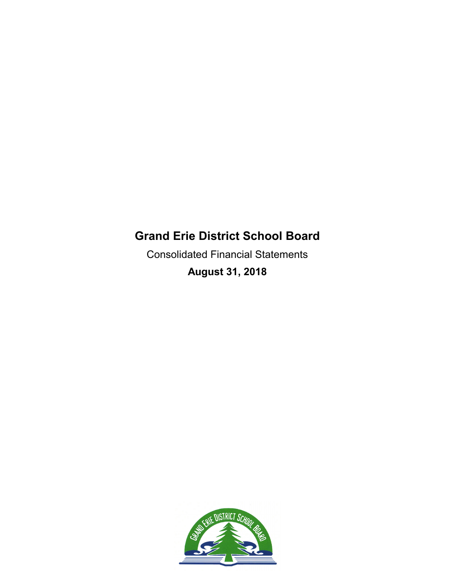Consolidated Financial Statements **August 31, 2018**

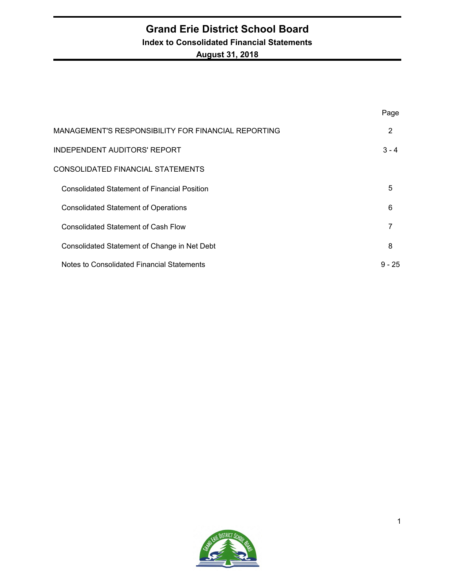# **Grand Erie District School Board Index to Consolidated Financial Statements August 31, 2018**

Page MANAGEMENT'S RESPONSIBILITY FOR FINANCIAL REPORTING 2 INDEPENDENT AUDITORS' REPORT 3 - 4 CONSOLIDATED FINANCIAL STATEMENTS Consolidated Statement of Financial Position 5 Consolidated Statement of Operations 6 Consolidated Statement of Cash Flow 7 Consolidated Statement of Change in Net Debt 8 8 Notes to Consolidated Financial Statements 9 - 25

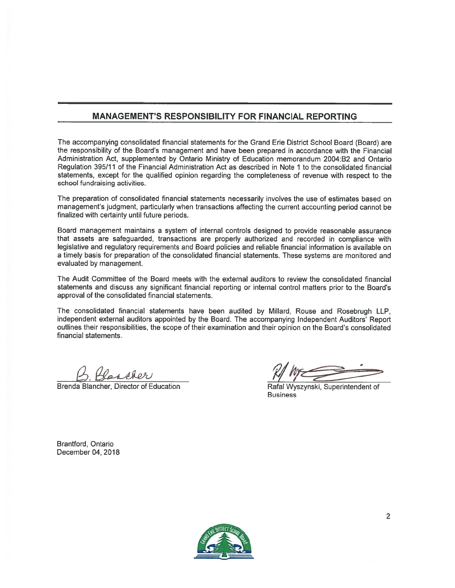# **MANAGEMENT'S RESPONSIBILITY FOR FINANCIAL REPORTING**

The accompanying consolidated financial statements for the Grand Erie District School Board (Board) are the responsibility of the Board's management and have been prepared in accordance with the Financial Administration Act, supplemented by Ontario Ministry of Education memorandum 2004:B2 and Ontario Regulation 395/11 of the Financial Administration Act as described in Note 1 to the consolidated financial statements, except for the qualified opinion regarding the completeness of revenue with respect to the school fundraising activities.

The preparation of consolidated financial statements necessarily involves the use of estimates based on management's judgment, particularly when transactions affecting the current accounting period cannot be finalized with certainty until future periods.

Board management maintains a system of internal controls designed to provide reasonable assurance that assets are safeguarded, transactions are properly authorized and recorded in compliance with legislative and regulatory requirements and Board policies and reliable financial information is available on a timely basis for preparation of the consolidated financial statements. These systems are monitored and evaluated by management.

The Audit Committee of the Board meets with the external auditors to review the consolidated financial statements and discuss any significant financial reporting or internal control matters prior to the Board's approval of the consolidated financial statements.

The consolidated financial statements have been audited by Millard, Rouse and Rosebrugh LLP, independent external auditors appointed by the Board. The accompanying Independent Auditors' Report outlines their responsibilities, the scope of their examination and their opinion on the Board's consolidated financial statements.

Harster

Brenda Blancher, Director of Education

Rafal Wyszynski, Superintendent of **Business** 

Brantford, Ontario December 04, 2018

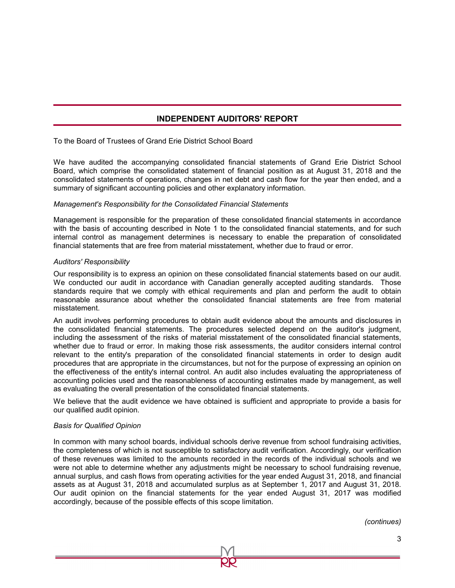# **INDEPENDENT AUDITORS' REPORT**

To the Board of Trustees of Grand Erie District School Board

We have audited the accompanying consolidated financial statements of Grand Erie District School Board, which comprise the consolidated statement of financial position as at August 31, 2018 and the consolidated statements of operations, changes in net debt and cash flow for the year then ended, and a summary of significant accounting policies and other explanatory information.

#### *Management's Responsibility for the Consolidated Financial Statements*

Management is responsible for the preparation of these consolidated financial statements in accordance with the basis of accounting described in Note 1 to the consolidated financial statements, and for such internal control as management determines is necessary to enable the preparation of consolidated financial statements that are free from material misstatement, whether due to fraud or error.

#### *Auditors' Responsibility*

Our responsibility is to express an opinion on these consolidated financial statements based on our audit. We conducted our audit in accordance with Canadian generally accepted auditing standards. Those standards require that we comply with ethical requirements and plan and perform the audit to obtain reasonable assurance about whether the consolidated financial statements are free from material misstatement.

An audit involves performing procedures to obtain audit evidence about the amounts and disclosures in the consolidated financial statements. The procedures selected depend on the auditor's judgment, including the assessment of the risks of material misstatement of the consolidated financial statements, whether due to fraud or error. In making those risk assessments, the auditor considers internal control relevant to the entity's preparation of the consolidated financial statements in order to design audit procedures that are appropriate in the circumstances, but not for the purpose of expressing an opinion on the effectiveness of the entity's internal control. An audit also includes evaluating the appropriateness of accounting policies used and the reasonableness of accounting estimates made by management, as well as evaluating the overall presentation of the consolidated financial statements.

We believe that the audit evidence we have obtained is sufficient and appropriate to provide a basis for our qualified audit opinion.

#### *Basis for Qualified Opinion*

In common with many school boards, individual schools derive revenue from school fundraising activities, the completeness of which is not susceptible to satisfactory audit verification. Accordingly, our verification of these revenues was limited to the amounts recorded in the records of the individual schools and we were not able to determine whether any adjustments might be necessary to school fundraising revenue, annual surplus, and cash flows from operating activities for the year ended August 31, 2018, and financial assets as at August 31, 2018 and accumulated surplus as at September 1, 2017 and August 31, 2018. Our audit opinion on the financial statements for the year ended August 31, 2017 was modified accordingly, because of the possible effects of this scope limitation.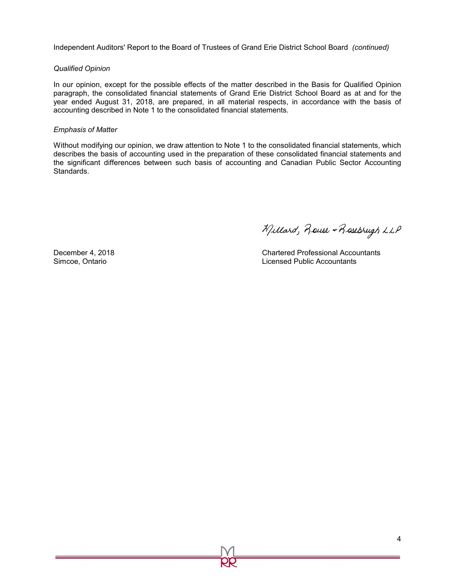Independent Auditors' Report to the Board of Trustees of Grand Erie District School Board *(continued)*

#### *Qualified Opinion*

In our opinion, except for the possible effects of the matter described in the Basis for Qualified Opinion paragraph, the consolidated financial statements of Grand Erie District School Board as at and for the year ended August 31, 2018, are prepared, in all material respects, in accordance with the basis of accounting described in Note 1 to the consolidated financial statements.

#### *Emphasis of Matter*

Without modifying our opinion, we draw attention to Note 1 to the consolidated financial statements, which describes the basis of accounting used in the preparation of these consolidated financial statements and the significant differences between such basis of accounting and Canadian Public Sector Accounting Standards.

Millard, Rouse - Rosebrugh LLP

December 4, 2018 Chartered Professional Accountants Licensed Public Accountants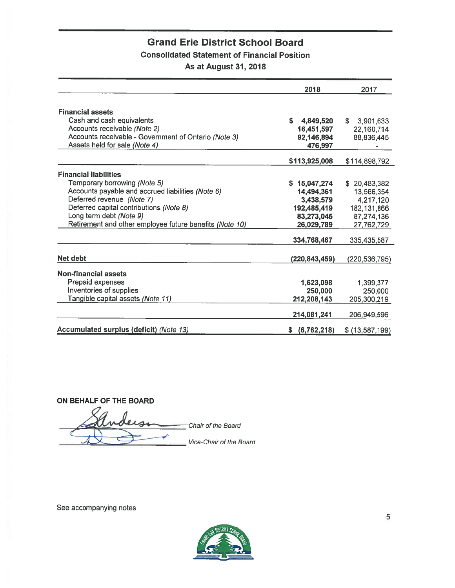# **Consolidated Statement of Financial Position**

As at August 31, 2018

|                                                         | 2018            | 2017             |
|---------------------------------------------------------|-----------------|------------------|
|                                                         |                 |                  |
| <b>Financial assets</b>                                 |                 |                  |
| Cash and cash equivalents                               | Ŝ.<br>4,849,520 | 3,901,633<br>S.  |
| Accounts receivable (Note 2)                            | 16,451,597      | 22,160,714       |
| Accounts receivable - Government of Ontario (Note 3)    | 92,146,894      | 88,836,445       |
| Assets held for sale (Note 4)                           | 476.997         |                  |
|                                                         | \$113,925,008   | \$114,898,792    |
| <b>Financial liabilities</b>                            |                 |                  |
| Temporary borrowing (Note 5)                            | \$15,047,274    | \$20,483,382     |
| Accounts payable and accrued liabilities (Note 6)       | 14,494,361      | 13,566,354       |
| Deferred revenue (Note 7)                               | 3,438,579       | 4,217,120        |
| Deferred capital contributions (Note 8)                 | 192,485,419     | 182,131,866      |
| Long term debt (Note 9)                                 | 83,273,045      | 87,274,136       |
| Retirement and other employee future benefits (Note 10) | 26,029,789      | 27,762,729       |
|                                                         |                 |                  |
|                                                         | 334,768,467     | 335,435,587      |
| Net debt                                                | (220,843,459)   | (220,536,795)    |
| <b>Non-financial assets</b>                             |                 |                  |
| Prepaid expenses                                        | 1,623,098       | 1,399,377        |
| Inventories of supplies                                 | 250,000         | 250,000          |
| Tangible capital assets (Note 11)                       | 212,208,143     | 205,300,219      |
|                                                         |                 |                  |
|                                                         | 214,081,241     | 206,949,596      |
| Accumulated surplus (deficit) (Note 13)                 | \$ (6,762,218)  | \$(13, 587, 199) |

ON BEHALF OF THE BOARD

derso Chair of the Board Vice-Chair of the Board

See accompanying notes

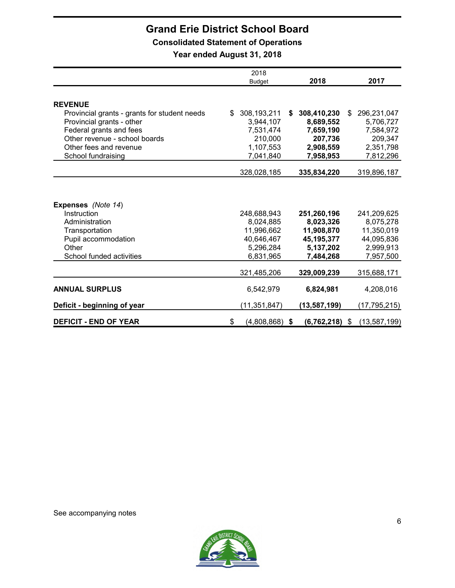**Consolidated Statement of Operations**

**Year ended August 31, 2018**

|                                              | 2018                   |                   |      |                |
|----------------------------------------------|------------------------|-------------------|------|----------------|
|                                              | <b>Budget</b>          | 2018              |      | 2017           |
|                                              |                        |                   |      |                |
| <b>REVENUE</b>                               |                        |                   |      |                |
| Provincial grants - grants for student needs | \$<br>308,193,211      | \$<br>308,410,230 | \$   | 296,231,047    |
| Provincial grants - other                    | 3,944,107              | 8,689,552         |      | 5,706,727      |
| Federal grants and fees                      | 7,531,474              | 7,659,190         |      | 7,584,972      |
| Other revenue - school boards                | 210,000                | 207,736           |      | 209,347        |
| Other fees and revenue                       | 1,107,553              | 2,908,559         |      | 2,351,798      |
| School fundraising                           | 7,041,840              | 7,958,953         |      | 7,812,296      |
|                                              | 328,028,185            | 335,834,220       |      | 319,896,187    |
|                                              |                        |                   |      |                |
|                                              |                        |                   |      |                |
| Expenses (Note 14)                           |                        |                   |      |                |
| Instruction                                  | 248,688,943            | 251,260,196       |      | 241,209,625    |
| Administration                               | 8,024,885              | 8,023,326         |      | 8,075,278      |
| Transportation                               | 11,996,662             | 11,908,870        |      | 11,350,019     |
| Pupil accommodation                          | 40,646,467             | 45, 195, 377      |      | 44,095,836     |
| Other                                        | 5,296,284              | 5,137,202         |      | 2,999,913      |
| School funded activities                     | 6,831,965              | 7,484,268         |      | 7,957,500      |
|                                              | 321,485,206            | 329,009,239       |      | 315,688,171    |
| <b>ANNUAL SURPLUS</b>                        | 6,542,979              | 6,824,981         |      | 4,208,016      |
| Deficit - beginning of year                  | (11, 351, 847)         | (13,587,199)      |      | (17,795,215)   |
| <b>DEFICIT - END OF YEAR</b>                 | \$<br>$(4,808,868)$ \$ | (6, 762, 218)     | - \$ | (13, 587, 199) |

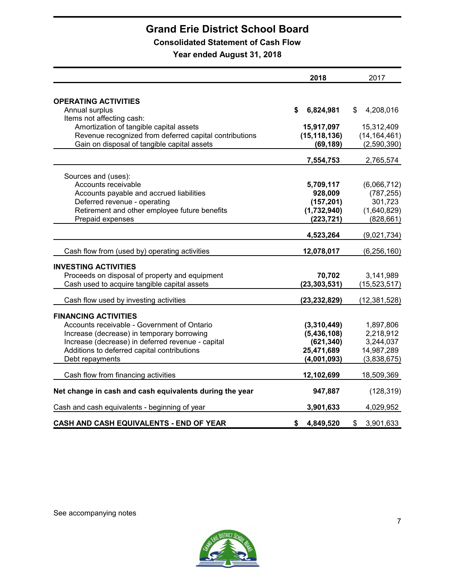# **Consolidated Statement of Cash Flow**

**Year ended August 31, 2018**

|                                                         | 2018            | 2017            |
|---------------------------------------------------------|-----------------|-----------------|
|                                                         |                 |                 |
| <b>OPERATING ACTIVITIES</b>                             |                 |                 |
| Annual surplus                                          | \$<br>6,824,981 | 4,208,016<br>\$ |
| Items not affecting cash:                               |                 |                 |
| Amortization of tangible capital assets                 | 15,917,097      | 15,312,409      |
| Revenue recognized from deferred capital contributions  | (15, 118, 136)  | (14, 164, 461)  |
| Gain on disposal of tangible capital assets             | (69, 189)       | (2,590,390)     |
|                                                         | 7,554,753       | 2,765,574       |
| Sources and (uses):                                     |                 |                 |
| Accounts receivable                                     | 5,709,117       | (6,066,712)     |
| Accounts payable and accrued liabilities                | 928,009         | (787, 255)      |
| Deferred revenue - operating                            | (157, 201)      | 301,723         |
| Retirement and other employee future benefits           | (1,732,940)     | (1,640,829)     |
| Prepaid expenses                                        | (223, 721)      | (828, 661)      |
|                                                         | 4,523,264       | (9,021,734)     |
|                                                         |                 |                 |
| Cash flow from (used by) operating activities           | 12,078,017      | (6, 256, 160)   |
| <b>INVESTING ACTIVITIES</b>                             |                 |                 |
| Proceeds on disposal of property and equipment          | 70,702          | 3,141,989       |
| Cash used to acquire tangible capital assets            | (23, 303, 531)  | (15, 523, 517)  |
|                                                         |                 |                 |
| Cash flow used by investing activities                  | (23, 232, 829)  | (12, 381, 528)  |
| <b>FINANCING ACTIVITIES</b>                             |                 |                 |
| Accounts receivable - Government of Ontario             | (3,310,449)     | 1,897,806       |
| Increase (decrease) in temporary borrowing              | (5,436,108)     | 2,218,912       |
| Increase (decrease) in deferred revenue - capital       | (621, 340)      | 3,244,037       |
| Additions to deferred capital contributions             | 25,471,689      | 14,987,289      |
| Debt repayments                                         | (4,001,093)     | (3,838,675)     |
|                                                         |                 |                 |
| Cash flow from financing activities                     | 12,102,699      | 18,509,369      |
| Net change in cash and cash equivalents during the year | 947,887         | (128, 319)      |
| Cash and cash equivalents - beginning of year           | 3,901,633       | 4,029,952       |
| CASH AND CASH EQUIVALENTS - END OF YEAR                 | 4,849,520<br>\$ | \$<br>3,901,633 |

See accompanying notes

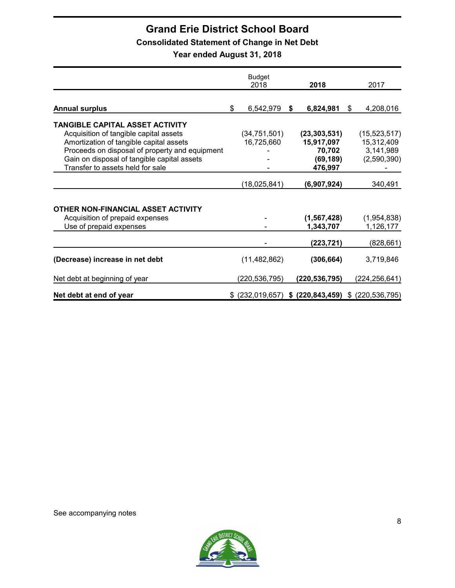# **Consolidated Statement of Change in Net Debt**

**Year ended August 31, 2018**

|                                                                                               | <b>Budget</b><br>2018                                 |    | 2018                         | 2017                         |
|-----------------------------------------------------------------------------------------------|-------------------------------------------------------|----|------------------------------|------------------------------|
|                                                                                               |                                                       |    |                              |                              |
| <b>Annual surplus</b>                                                                         | \$<br>6,542,979                                       | S. | 6,824,981                    | \$<br>4,208,016              |
| <b>TANGIBLE CAPITAL ASSET ACTIVITY</b>                                                        |                                                       |    |                              |                              |
| Acquisition of tangible capital assets<br>Amortization of tangible capital assets             | (34, 751, 501)<br>16,725,660                          |    | (23, 303, 531)<br>15,917,097 | (15, 523, 517)<br>15,312,409 |
| Proceeds on disposal of property and equipment<br>Gain on disposal of tangible capital assets |                                                       |    | 70,702<br>(69, 189)          | 3,141,989<br>(2,590,390)     |
| Transfer to assets held for sale                                                              |                                                       |    | 476,997                      |                              |
|                                                                                               | (18,025,841)                                          |    | (6,907,924)                  | 340,491                      |
|                                                                                               |                                                       |    |                              |                              |
| OTHER NON-FINANCIAL ASSET ACTIVITY                                                            |                                                       |    |                              |                              |
| Acquisition of prepaid expenses<br>Use of prepaid expenses                                    |                                                       |    | (1, 567, 428)<br>1,343,707   | (1,954,838)<br>1,126,177     |
|                                                                                               |                                                       |    | (223,721)                    | (828, 661)                   |
| (Decrease) increase in net debt                                                               | (11, 482, 862)                                        |    | (306, 664)                   | 3,719,846                    |
| Net debt at beginning of year                                                                 | (220, 536, 795)                                       |    | (220,536,795)                | (224, 256, 641)              |
| Net debt at end of year                                                                       | $$$ (232,019,657) $$$ (220,843,459) $$$ (220,536,795) |    |                              |                              |

See accompanying notes

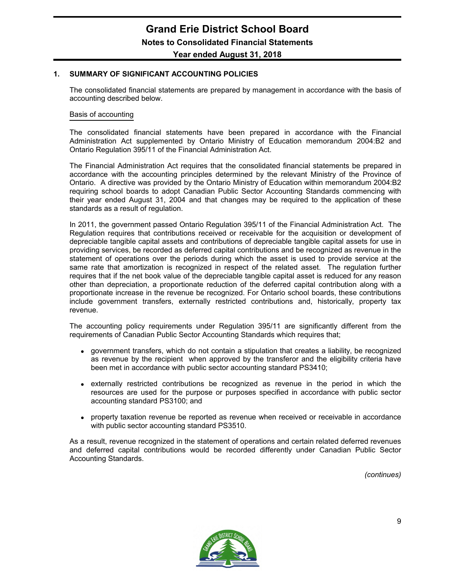# **1. SUMMARY OF SIGNIFICANT ACCOUNTING POLICIES**

The consolidated financial statements are prepared by management in accordance with the basis of accounting described below.

#### Basis of accounting

The consolidated financial statements have been prepared in accordance with the Financial Administration Act supplemented by Ontario Ministry of Education memorandum 2004:B2 and Ontario Regulation 395/11 of the Financial Administration Act.

The Financial Administration Act requires that the consolidated financial statements be prepared in accordance with the accounting principles determined by the relevant Ministry of the Province of Ontario. A directive was provided by the Ontario Ministry of Education within memorandum 2004:B2 requiring school boards to adopt Canadian Public Sector Accounting Standards commencing with their year ended August 31, 2004 and that changes may be required to the application of these standards as a result of regulation.

In 2011, the government passed Ontario Regulation 395/11 of the Financial Administration Act. The Regulation requires that contributions received or receivable for the acquisition or development of depreciable tangible capital assets and contributions of depreciable tangible capital assets for use in providing services, be recorded as deferred capital contributions and be recognized as revenue in the statement of operations over the periods during which the asset is used to provide service at the same rate that amortization is recognized in respect of the related asset. The regulation further requires that if the net book value of the depreciable tangible capital asset is reduced for any reason other than depreciation, a proportionate reduction of the deferred capital contribution along with a proportionate increase in the revenue be recognized. For Ontario school boards, these contributions include government transfers, externally restricted contributions and, historically, property tax revenue.

The accounting policy requirements under Regulation 395/11 are significantly different from the requirements of Canadian Public Sector Accounting Standards which requires that;

- government transfers, which do not contain a stipulation that creates a liability, be recognized as revenue by the recipient when approved by the transferor and the eligibility criteria have been met in accordance with public sector accounting standard PS3410;
- externally restricted contributions be recognized as revenue in the period in which the resources are used for the purpose or purposes specified in accordance with public sector accounting standard PS3100; and
- property taxation revenue be reported as revenue when received or receivable in accordance with public sector accounting standard PS3510.

As a result, revenue recognized in the statement of operations and certain related deferred revenues and deferred capital contributions would be recorded differently under Canadian Public Sector Accounting Standards.

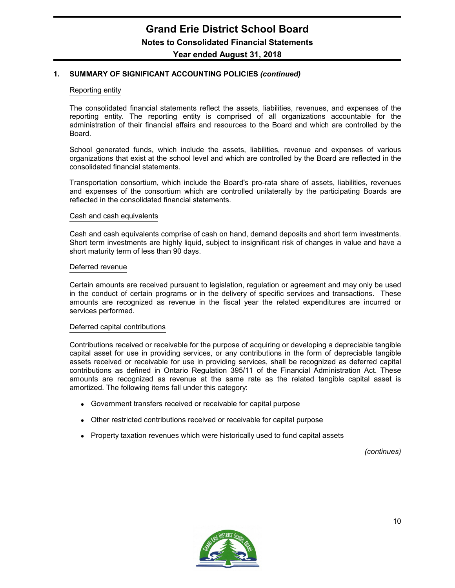#### Reporting entity

The consolidated financial statements reflect the assets, liabilities, revenues, and expenses of the reporting entity. The reporting entity is comprised of all organizations accountable for the administration of their financial affairs and resources to the Board and which are controlled by the Board.

School generated funds, which include the assets, liabilities, revenue and expenses of various organizations that exist at the school level and which are controlled by the Board are reflected in the consolidated financial statements.

Transportation consortium, which include the Board's pro-rata share of assets, liabilities, revenues and expenses of the consortium which are controlled unilaterally by the participating Boards are reflected in the consolidated financial statements.

#### Cash and cash equivalents

Cash and cash equivalents comprise of cash on hand, demand deposits and short term investments. Short term investments are highly liquid, subject to insignificant risk of changes in value and have a short maturity term of less than 90 days.

#### Deferred revenue

Certain amounts are received pursuant to legislation, regulation or agreement and may only be used in the conduct of certain programs or in the delivery of specific services and transactions. These amounts are recognized as revenue in the fiscal year the related expenditures are incurred or services performed.

#### Deferred capital contributions

Contributions received or receivable for the purpose of acquiring or developing a depreciable tangible capital asset for use in providing services, or any contributions in the form of depreciable tangible assets received or receivable for use in providing services, shall be recognized as deferred capital contributions as defined in Ontario Regulation 395/11 of the Financial Administration Act. These amounts are recognized as revenue at the same rate as the related tangible capital asset is amortized. The following items fall under this category:

- Government transfers received or receivable for capital purpose
- Other restricted contributions received or receivable for capital purpose
- Property taxation revenues which were historically used to fund capital assets

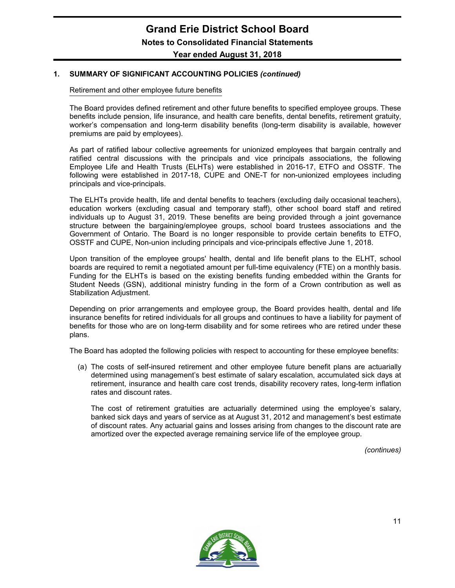#### Retirement and other employee future benefits

The Board provides defined retirement and other future benefits to specified employee groups. These benefits include pension, life insurance, and health care benefits, dental benefits, retirement gratuity, worker's compensation and long-term disability benefits (long-term disability is available, however premiums are paid by employees).

As part of ratified labour collective agreements for unionized employees that bargain centrally and ratified central discussions with the principals and vice principals associations, the following Employee Life and Health Trusts (ELHTs) were established in 2016-17, ETFO and OSSTF. The following were established in 2017-18, CUPE and ONE-T for non-unionized employees including principals and vice-principals.

The ELHTs provide health, life and dental benefits to teachers (excluding daily occasional teachers), education workers (excluding casual and temporary staff), other school board staff and retired individuals up to August 31, 2019. These benefits are being provided through a joint governance structure between the bargaining/employee groups, school board trustees associations and the Government of Ontario. The Board is no longer responsible to provide certain benefits to ETFO, OSSTF and CUPE, Non-union including principals and vice-principals effective June 1, 2018.

Upon transition of the employee groups' health, dental and life benefit plans to the ELHT, school boards are required to remit a negotiated amount per full-time equivalency (FTE) on a monthly basis. Funding for the ELHTs is based on the existing benefits funding embedded within the Grants for Student Needs (GSN), additional ministry funding in the form of a Crown contribution as well as Stabilization Adjustment.

Depending on prior arrangements and employee group, the Board provides health, dental and life insurance benefits for retired individuals for all groups and continues to have a liability for payment of benefits for those who are on long-term disability and for some retirees who are retired under these plans.

The Board has adopted the following policies with respect to accounting for these employee benefits:

(a) The costs of self-insured retirement and other employee future benefit plans are actuarially determined using management's best estimate of salary escalation, accumulated sick days at retirement, insurance and health care cost trends, disability recovery rates, long-term inflation rates and discount rates.

The cost of retirement gratuities are actuarially determined using the employee's salary, banked sick days and years of service as at August 31, 2012 and management's best estimate of discount rates. Any actuarial gains and losses arising from changes to the discount rate are amortized over the expected average remaining service life of the employee group.

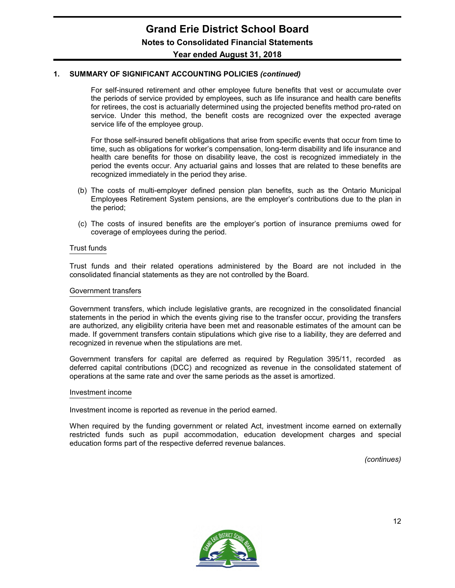For self-insured retirement and other employee future benefits that vest or accumulate over the periods of service provided by employees, such as life insurance and health care benefits for retirees, the cost is actuarially determined using the projected benefits method pro-rated on service. Under this method, the benefit costs are recognized over the expected average service life of the employee group.

For those self-insured benefit obligations that arise from specific events that occur from time to time, such as obligations for worker's compensation, long-term disability and life insurance and health care benefits for those on disability leave, the cost is recognized immediately in the period the events occur. Any actuarial gains and losses that are related to these benefits are recognized immediately in the period they arise.

- (b) The costs of multi-employer defined pension plan benefits, such as the Ontario Municipal Employees Retirement System pensions, are the employer's contributions due to the plan in the period;
- (c) The costs of insured benefits are the employer's portion of insurance premiums owed for coverage of employees during the period.

#### Trust funds

Trust funds and their related operations administered by the Board are not included in the consolidated financial statements as they are not controlled by the Board.

#### Government transfers

Government transfers, which include legislative grants, are recognized in the consolidated financial statements in the period in which the events giving rise to the transfer occur, providing the transfers are authorized, any eligibility criteria have been met and reasonable estimates of the amount can be made. If government transfers contain stipulations which give rise to a liability, they are deferred and recognized in revenue when the stipulations are met.

Government transfers for capital are deferred as required by Regulation 395/11, recorded as deferred capital contributions (DCC) and recognized as revenue in the consolidated statement of operations at the same rate and over the same periods as the asset is amortized.

#### Investment income

Investment income is reported as revenue in the period earned.

When required by the funding government or related Act, investment income earned on externally restricted funds such as pupil accommodation, education development charges and special education forms part of the respective deferred revenue balances.

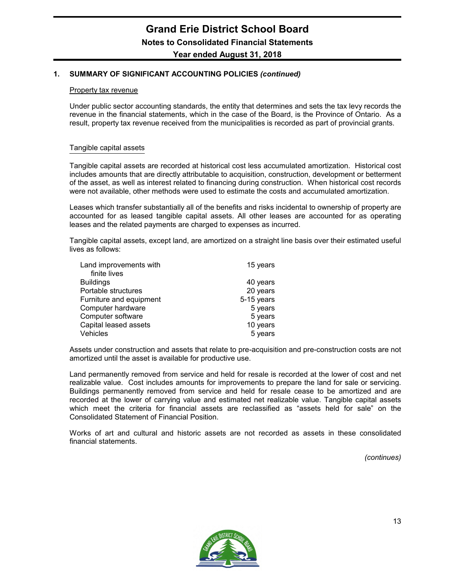#### Property tax revenue

Under public sector accounting standards, the entity that determines and sets the tax levy records the revenue in the financial statements, which in the case of the Board, is the Province of Ontario. As a result, property tax revenue received from the municipalities is recorded as part of provincial grants.

#### Tangible capital assets

Tangible capital assets are recorded at historical cost less accumulated amortization. Historical cost includes amounts that are directly attributable to acquisition, construction, development or betterment of the asset, as well as interest related to financing during construction. When historical cost records were not available, other methods were used to estimate the costs and accumulated amortization.

Leases which transfer substantially all of the benefits and risks incidental to ownership of property are accounted for as leased tangible capital assets. All other leases are accounted for as operating leases and the related payments are charged to expenses as incurred.

Tangible capital assets, except land, are amortized on a straight line basis over their estimated useful lives as follows:

| Land improvements with<br>finite lives | 15 years   |
|----------------------------------------|------------|
| <b>Buildings</b>                       | 40 years   |
| Portable structures                    | 20 years   |
| Furniture and equipment                | 5-15 years |
| Computer hardware                      | 5 years    |
| Computer software                      | 5 years    |
| Capital leased assets                  | 10 years   |
| Vehicles                               | 5 years    |

Assets under construction and assets that relate to pre-acquisition and pre-construction costs are not amortized until the asset is available for productive use.

Land permanently removed from service and held for resale is recorded at the lower of cost and net realizable value. Cost includes amounts for improvements to prepare the land for sale or servicing. Buildings permanently removed from service and held for resale cease to be amortized and are recorded at the lower of carrying value and estimated net realizable value. Tangible capital assets which meet the criteria for financial assets are reclassified as "assets held for sale" on the Consolidated Statement of Financial Position.

Works of art and cultural and historic assets are not recorded as assets in these consolidated financial statements.

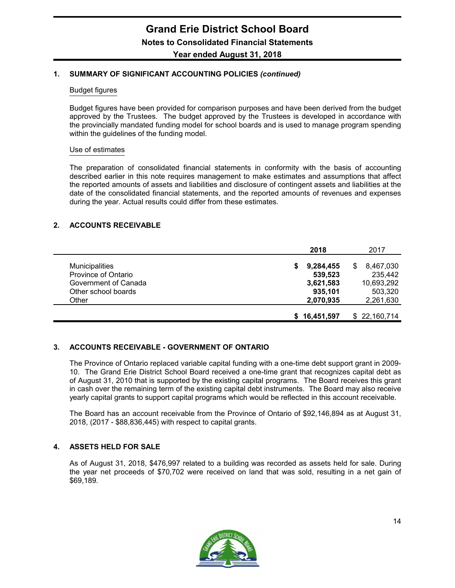# Budget figures

Budget figures have been provided for comparison purposes and have been derived from the budget approved by the Trustees. The budget approved by the Trustees is developed in accordance with the provincially mandated funding model for school boards and is used to manage program spending within the guidelines of the funding model.

#### Use of estimates

The preparation of consolidated financial statements in conformity with the basis of accounting described earlier in this note requires management to make estimates and assumptions that affect the reported amounts of assets and liabilities and disclosure of contingent assets and liabilities at the date of the consolidated financial statements, and the reported amounts of revenues and expenses during the year. Actual results could differ from these estimates.

#### **2. ACCOUNTS RECEIVABLE**

|                       | 2018            | 2017         |
|-----------------------|-----------------|--------------|
|                       |                 |              |
| <b>Municipalities</b> | 9,284,455<br>S. | 8,467,030    |
| Province of Ontario   | 539,523         | 235,442      |
| Government of Canada  | 3,621,583       | 10,693,292   |
| Other school boards   | 935,101         | 503,320      |
| Other                 | 2,070,935       | 2,261,630    |
|                       |                 |              |
|                       | \$16,451,597    | \$22,160,714 |

#### **3. ACCOUNTS RECEIVABLE - GOVERNMENT OF ONTARIO**

The Province of Ontario replaced variable capital funding with a one-time debt support grant in 2009- 10. The Grand Erie District School Board received a one-time grant that recognizes capital debt as of August 31, 2010 that is supported by the existing capital programs. The Board receives this grant in cash over the remaining term of the existing capital debt instruments. The Board may also receive yearly capital grants to support capital programs which would be reflected in this account receivable.

The Board has an account receivable from the Province of Ontario of \$92,146,894 as at August 31, 2018, (2017 - \$88,836,445) with respect to capital grants.

#### **4. ASSETS HELD FOR SALE**

As of August 31, 2018, \$476,997 related to a building was recorded as assets held for sale. During the year net proceeds of \$70,702 were received on land that was sold, resulting in a net gain of \$69,189.

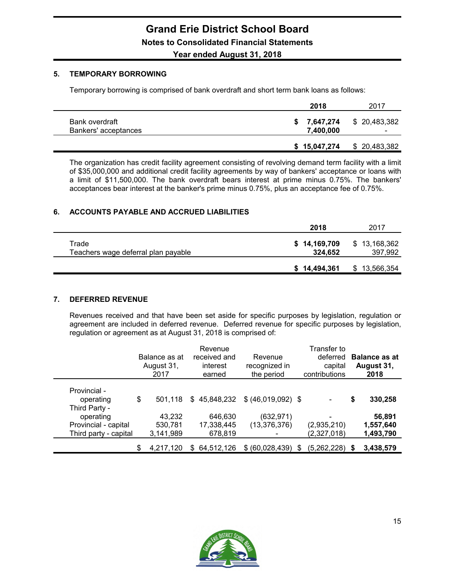## **5. TEMPORARY BORROWING**

Temporary borrowing is comprised of bank overdraft and short term bank loans as follows:

|                                        | 2018                         | 2017                                     |
|----------------------------------------|------------------------------|------------------------------------------|
| Bank overdraft<br>Bankers' acceptances | 7,647,274<br>S.<br>7,400,000 | \$20,483,382<br>$\overline{\phantom{0}}$ |
|                                        | \$15,047,274                 | \$20,483,382                             |

The organization has credit facility agreement consisting of revolving demand term facility with a limit of \$35,000,000 and additional credit facility agreements by way of bankers' acceptance or loans with a limit of \$11,500,000. The bank overdraft bears interest at prime minus 0.75%. The bankers' acceptances bear interest at the banker's prime minus 0.75%, plus an acceptance fee of 0.75%.

#### **6. ACCOUNTS PAYABLE AND ACCRUED LIABILITIES**

|                                              | 2018                    | 2017                    |
|----------------------------------------------|-------------------------|-------------------------|
| Trade<br>Teachers wage deferral plan payable | \$14,169,709<br>324,652 | \$13,168,362<br>397,992 |
|                                              | \$14,494,361            | \$13,566,354            |

#### **7. DEFERRED REVENUE**

Revenues received and that have been set aside for specific purposes by legislation, regulation or agreement are included in deferred revenue. Deferred revenue for specific purposes by legislation, regulation or agreement as at August 31, 2018 is comprised of:

|                       | Balance as at<br>August 31,<br>2017 |    | Revenue<br>received and<br>interest<br>earned | Revenue<br>recognized in<br>the period |   | Transfer to<br>deferred<br>capital<br>contributions |    | <b>Balance as at</b><br>August 31,<br>2018 |
|-----------------------|-------------------------------------|----|-----------------------------------------------|----------------------------------------|---|-----------------------------------------------------|----|--------------------------------------------|
| Provincial -          |                                     |    |                                               |                                        |   |                                                     |    |                                            |
| operating             | \$<br>501.118                       |    | \$45,848,232                                  | \$ (46,019,092) \$                     |   |                                                     | \$ | 330,258                                    |
| Third Party -         |                                     |    |                                               |                                        |   |                                                     |    |                                            |
| operating             | 43,232                              |    | 646,630                                       | (632, 971)                             |   |                                                     |    | 56,891                                     |
| Provincial - capital  | 530,781                             |    | 17,338,445                                    | (13, 376, 376)                         |   | (2,935,210)                                         |    | 1,557,640                                  |
| Third party - capital | 3,141,989                           |    | 678,819                                       |                                        |   | (2,327,018)                                         |    | 1,493,790                                  |
|                       | \$<br>4,217,120                     | S. | 64,512,126                                    | \$ (60,028,439)                        | S | (5,262,228)                                         | S  | 3,438,579                                  |

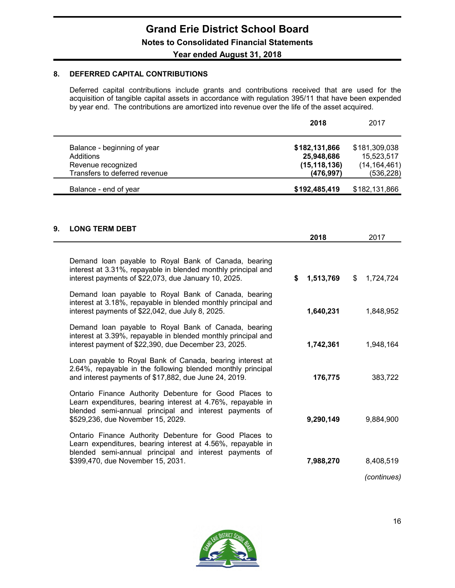# **8. DEFERRED CAPITAL CONTRIBUTIONS**

Deferred capital contributions include grants and contributions received that are used for the acquisition of tangible capital assets in accordance with regulation 395/11 that have been expended by year end. The contributions are amortized into revenue over the life of the asset acquired.

| 2018           | 2017           |
|----------------|----------------|
| \$182,131,866  | \$181,309,038  |
| 25,948,686     | 15,523,517     |
| (15, 118, 136) | (14, 164, 461) |
| (476, 997)     | (536, 228)     |
| \$192,485,419  | \$182,131,866  |
|                |                |

# **9. LONG TERM DEBT**

|                                                                                                                                                                                                                      | 2018            | 2017            |
|----------------------------------------------------------------------------------------------------------------------------------------------------------------------------------------------------------------------|-----------------|-----------------|
| Demand loan payable to Royal Bank of Canada, bearing<br>interest at 3.31%, repayable in blended monthly principal and<br>interest payments of \$22,073, due January 10, 2025.                                        | \$<br>1,513,769 | \$<br>1,724,724 |
| Demand loan payable to Royal Bank of Canada, bearing<br>interest at 3.18%, repayable in blended monthly principal and<br>interest payments of \$22,042, due July 8, 2025.                                            | 1,640,231       | 1,848,952       |
| Demand loan payable to Royal Bank of Canada, bearing<br>interest at 3.39%, repayable in blended monthly principal and<br>interest payment of \$22,390, due December 23, 2025.                                        | 1,742,361       | 1,948,164       |
| Loan payable to Royal Bank of Canada, bearing interest at<br>2.64%, repayable in the following blended monthly principal<br>and interest payments of \$17,882, due June 24, 2019.                                    | 176,775         | 383,722         |
| Ontario Finance Authority Debenture for Good Places to<br>Learn expenditures, bearing interest at 4.76%, repayable in<br>blended semi-annual principal and interest payments of<br>\$529,236, due November 15, 2029. | 9,290,149       | 9,884,900       |
| Ontario Finance Authority Debenture for Good Places to<br>Learn expenditures, bearing interest at 4.56%, repayable in<br>blended semi-annual principal and interest payments of<br>\$399,470, due November 15, 2031. | 7,988,270       | 8,408,519       |
|                                                                                                                                                                                                                      |                 |                 |
|                                                                                                                                                                                                                      |                 | (continues)     |

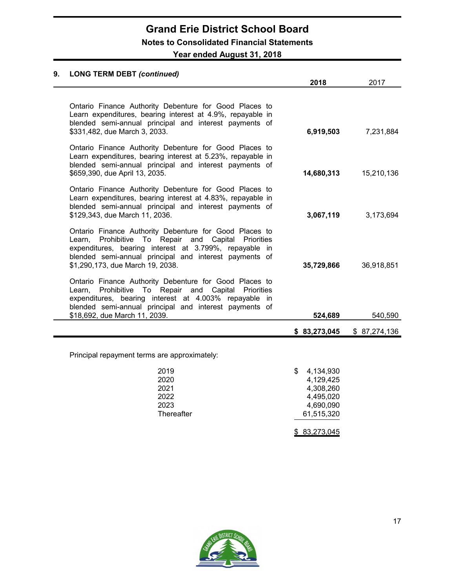# **Grand Erie District School Board Notes to Consolidated Financial Statements**

**Year ended August 31, 2018**

#### **9. LONG TERM DEBT** *(continued)*

|                                                                                                                                                                                                                                                                             | 2018         | 2017         |
|-----------------------------------------------------------------------------------------------------------------------------------------------------------------------------------------------------------------------------------------------------------------------------|--------------|--------------|
| Ontario Finance Authority Debenture for Good Places to<br>Learn expenditures, bearing interest at 4.9%, repayable in<br>blended semi-annual principal and interest payments of<br>\$331,482, due March 3, 2033.                                                             | 6,919,503    | 7,231,884    |
| Ontario Finance Authority Debenture for Good Places to<br>Learn expenditures, bearing interest at 5.23%, repayable in<br>blended semi-annual principal and interest payments of<br>\$659,390, due April 13, 2035.                                                           | 14,680,313   | 15,210,136   |
| Ontario Finance Authority Debenture for Good Places to<br>Learn expenditures, bearing interest at 4.83%, repayable in<br>blended semi-annual principal and interest payments of<br>\$129,343, due March 11, 2036.                                                           | 3,067,119    | 3,173,694    |
| Ontario Finance Authority Debenture for Good Places to<br>Prohibitive To Repair and Capital<br>Learn.<br>Priorities<br>expenditures, bearing interest at 3.799%, repayable in<br>blended semi-annual principal and interest payments of<br>\$1,290,173, due March 19, 2038. | 35,729,866   | 36,918,851   |
| Ontario Finance Authority Debenture for Good Places to<br>Prohibitive To Repair and Capital<br>Learn.<br>Priorities<br>expenditures, bearing interest at 4.003% repayable in<br>blended semi-annual principal and interest payments of<br>\$18,692, due March 11, 2039.     | 524,689      | 540,590      |
|                                                                                                                                                                                                                                                                             | \$83,273,045 | \$87,274,136 |

Principal repayment terms are approximately:

| 2019       | 4,134,930    |
|------------|--------------|
| 2020       | 4,129,425    |
| 2021       | 4,308,260    |
| 2022       | 4,495,020    |
| 2023       | 4,690,090    |
| Thereafter | 61,515,320   |
|            | \$83,273,045 |

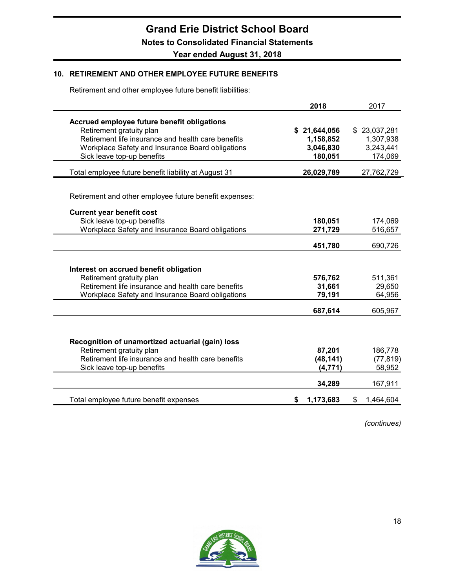# **10. RETIREMENT AND OTHER EMPLOYEE FUTURE BENEFITS**

Retirement and other employee future benefit liabilities:

|                                                        | 2018            | 2017            |
|--------------------------------------------------------|-----------------|-----------------|
| Accrued employee future benefit obligations            |                 |                 |
| Retirement gratuity plan                               | \$21,644,056    | \$23,037,281    |
| Retirement life insurance and health care benefits     | 1,158,852       | 1,307,938       |
| Workplace Safety and Insurance Board obligations       | 3,046,830       | 3,243,441       |
| Sick leave top-up benefits                             | 180,051         | 174,069         |
|                                                        |                 |                 |
| Total employee future benefit liability at August 31   | 26,029,789      | 27,762,729      |
|                                                        |                 |                 |
| Retirement and other employee future benefit expenses: |                 |                 |
| <b>Current year benefit cost</b>                       |                 |                 |
| Sick leave top-up benefits                             | 180,051         | 174,069         |
| Workplace Safety and Insurance Board obligations       | 271,729         | 516,657         |
|                                                        | 451,780         | 690,726         |
|                                                        |                 |                 |
| Interest on accrued benefit obligation                 |                 |                 |
| Retirement gratuity plan                               | 576,762         | 511,361         |
| Retirement life insurance and health care benefits     | 31,661          | 29,650          |
| Workplace Safety and Insurance Board obligations       | 79,191          | 64,956          |
|                                                        | 687,614         | 605,967         |
|                                                        |                 |                 |
| Recognition of unamortized actuarial (gain) loss       |                 |                 |
| Retirement gratuity plan                               | 87,201          | 186,778         |
| Retirement life insurance and health care benefits     | (48, 141)       | (77, 819)       |
| Sick leave top-up benefits                             | (4, 771)        | 58,952          |
|                                                        | 34,289          | 167,911         |
| Total employee future benefit expenses                 | \$<br>1,173,683 | \$<br>1,464,604 |

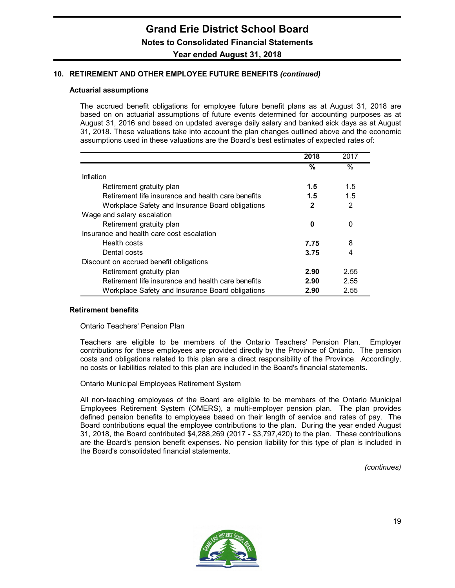## **10. RETIREMENT AND OTHER EMPLOYEE FUTURE BENEFITS** *(continued)*

#### **Actuarial assumptions**

The accrued benefit obligations for employee future benefit plans as at August 31, 2018 are based on on actuarial assumptions of future events determined for accounting purposes as at August 31, 2016 and based on updated average daily salary and banked sick days as at August 31, 2018. These valuations take into account the plan changes outlined above and the economic assumptions used in these valuations are the Board's best estimates of expected rates of:

|                                                    | 2018          | 2017 |
|----------------------------------------------------|---------------|------|
|                                                    | %             | $\%$ |
| Inflation                                          |               |      |
| Retirement gratuity plan                           | $1.5^{\circ}$ | 1.5  |
| Retirement life insurance and health care benefits | 1.5           | 1.5  |
| Workplace Safety and Insurance Board obligations   | $\mathbf{2}$  | 2    |
| Wage and salary escalation                         |               |      |
| Retirement gratuity plan                           | 0             | 0    |
| Insurance and health care cost escalation          |               |      |
| Health costs                                       | 7.75          | 8    |
| Dental costs                                       | 3.75          | 4    |
| Discount on accrued benefit obligations            |               |      |
| Retirement gratuity plan                           | 2.90          | 2.55 |
| Retirement life insurance and health care benefits | 2.90          | 2.55 |
| Workplace Safety and Insurance Board obligations   | 2.90          | 2.55 |

#### **Retirement benefits**

Ontario Teachers' Pension Plan

Teachers are eligible to be members of the Ontario Teachers' Pension Plan. Employer contributions for these employees are provided directly by the Province of Ontario. The pension costs and obligations related to this plan are a direct responsibility of the Province. Accordingly, no costs or liabilities related to this plan are included in the Board's financial statements.

Ontario Municipal Employees Retirement System

All non-teaching employees of the Board are eligible to be members of the Ontario Municipal Employees Retirement System (OMERS), a multi-employer pension plan. The plan provides defined pension benefits to employees based on their length of service and rates of pay. The Board contributions equal the employee contributions to the plan. During the year ended August 31, 2018, the Board contributed \$4,288,269 (2017 - \$3,797,420) to the plan. These contributions are the Board's pension benefit expenses. No pension liability for this type of plan is included in the Board's consolidated financial statements.

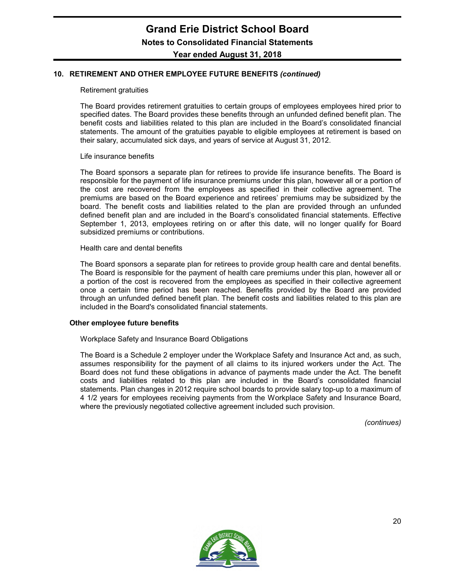## **10. RETIREMENT AND OTHER EMPLOYEE FUTURE BENEFITS** *(continued)*

#### Retirement gratuities

The Board provides retirement gratuities to certain groups of employees employees hired prior to specified dates. The Board provides these benefits through an unfunded defined benefit plan. The benefit costs and liabilities related to this plan are included in the Board's consolidated financial statements. The amount of the gratuities payable to eligible employees at retirement is based on their salary, accumulated sick days, and years of service at August 31, 2012.

#### Life insurance benefits

The Board sponsors a separate plan for retirees to provide life insurance benefits. The Board is responsible for the payment of life insurance premiums under this plan, however all or a portion of the cost are recovered from the employees as specified in their collective agreement. The premiums are based on the Board experience and retirees' premiums may be subsidized by the board. The benefit costs and liabilities related to the plan are provided through an unfunded defined benefit plan and are included in the Board's consolidated financial statements. Effective September 1, 2013, employees retiring on or after this date, will no longer qualify for Board subsidized premiums or contributions.

#### Health care and dental benefits

The Board sponsors a separate plan for retirees to provide group health care and dental benefits. The Board is responsible for the payment of health care premiums under this plan, however all or a portion of the cost is recovered from the employees as specified in their collective agreement once a certain time period has been reached. Benefits provided by the Board are provided through an unfunded defined benefit plan. The benefit costs and liabilities related to this plan are included in the Board's consolidated financial statements.

#### **Other employee future benefits**

Workplace Safety and Insurance Board Obligations

The Board is a Schedule 2 employer under the Workplace Safety and Insurance Act and, as such, assumes responsibility for the payment of all claims to its injured workers under the Act. The Board does not fund these obligations in advance of payments made under the Act. The benefit costs and liabilities related to this plan are included in the Board's consolidated financial statements. Plan changes in 2012 require school boards to provide salary top-up to a maximum of 4 1/2 years for employees receiving payments from the Workplace Safety and Insurance Board, where the previously negotiated collective agreement included such provision.

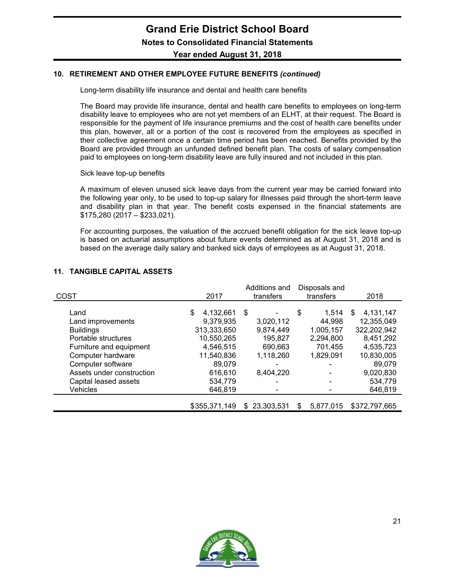# **10. RETIREMENT AND OTHER EMPLOYEE FUTURE BENEFITS** *(continued)*

Long-term disability life insurance and dental and health care benefits

The Board may provide life insurance, dental and health care benefits to employees on long-term disability leave to employees who are not yet members of an ELHT, at their request. The Board is responsible for the payment of life insurance premiums and the cost of health care benefits under this plan, however, all or a portion of the cost is recovered from the employees as specified in their collective agreement once a certain time period has been reached. Benefits provided by the Board are provided through an unfunded defined benefit plan. The costs of salary compensation paid to employees on long-term disability leave are fully insured and not included in this plan.

#### Sick leave top-up benefits

A maximum of eleven unused sick leave days from the current year may be carried forward into the following year only, to be used to top-up salary for illnesses paid through the short-term leave and disability plan in that year. The benefit costs expensed in the financial statements are \$175,280 (2017 – \$233,021).

For accounting purposes, the valuation of the accrued benefit obligation for the sick leave top-up is based on actuarial assumptions about future events determined as at August 31, 2018 and is based on the average daily salary and banked sick days of employees as at August 31, 2018.

| <b>COST</b>                                                                                                                                                                                                        | 2017                                                                                                                             | Additions and<br>transfers                                                    | Disposals and<br>transfers                                              | 2018                                                                                                                               |
|--------------------------------------------------------------------------------------------------------------------------------------------------------------------------------------------------------------------|----------------------------------------------------------------------------------------------------------------------------------|-------------------------------------------------------------------------------|-------------------------------------------------------------------------|------------------------------------------------------------------------------------------------------------------------------------|
| Land<br>Land improvements<br><b>Buildings</b><br>Portable structures<br>Furniture and equipment<br>Computer hardware<br>Computer software<br>Assets under construction<br>Capital leased assets<br><b>Vehicles</b> | 4,132,661<br>\$.<br>9,379,935<br>313,333,650<br>10,550,265<br>4.546.515<br>11,540,836<br>89,079<br>616,610<br>534.779<br>646,819 | \$.<br>3,020,112<br>9,874,449<br>195,827<br>690,663<br>1,118,260<br>8,404,220 | \$<br>1.514<br>44,998<br>1,005,157<br>2,294,800<br>701,455<br>1,829,091 | 4,131,147<br>\$.<br>12,355,049<br>322,202,942<br>8,451,292<br>4,535,723<br>10,830,005<br>89.079<br>9,020,830<br>534.779<br>646,819 |
|                                                                                                                                                                                                                    | \$355,371,149                                                                                                                    | 23,303,531<br>\$                                                              | 5,877,015<br>S                                                          | \$372,797,665                                                                                                                      |

#### **11. TANGIBLE CAPITAL ASSETS**

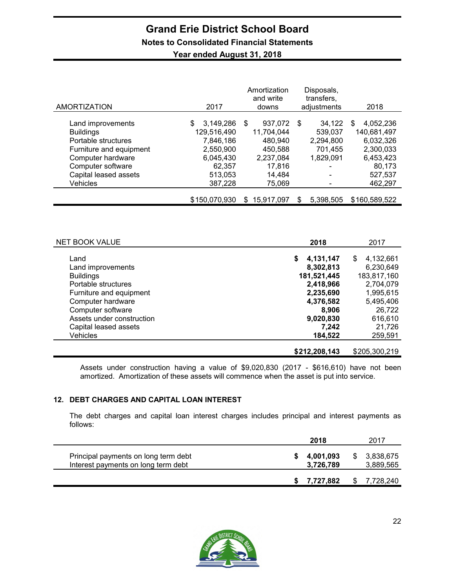# **Grand Erie District School Board Notes to Consolidated Financial Statements**

| Year ended August 31, 2018 |
|----------------------------|
|----------------------------|

| <b>AMORTIZATION</b>     | 2017            | Amortization<br>and write<br>downs | Disposals,<br>transfers,<br>adjustments | 2018            |
|-------------------------|-----------------|------------------------------------|-----------------------------------------|-----------------|
| Land improvements       | 3,149,286<br>\$ | 937,072<br>\$                      | 34,122<br>\$.                           | 4,052,236<br>\$ |
| <b>Buildings</b>        | 129,516,490     | 11,704,044                         | 539,037                                 | 140,681,497     |
| Portable structures     | 7,846,186       | 480,940                            | 2,294,800                               | 6,032,326       |
| Furniture and equipment | 2,550,900       | 450,588                            | 701,455                                 | 2,300,033       |
| Computer hardware       | 6,045,430       | 2,237,084                          | 1,829,091                               | 6,453,423       |
| Computer software       | 62,357          | 17,816                             |                                         | 80,173          |
| Capital leased assets   | 513,053         | 14,484                             | $\qquad \qquad \blacksquare$            | 527,537         |
| <b>Vehicles</b>         | 387,228         | 75,069                             |                                         | 462,297         |
|                         |                 |                                    |                                         |                 |
|                         | \$150,070,930   | 15,917,097<br>\$                   | 5.398.505<br>S                          | \$160,589,522   |

| NET BOOK VALUE            | 2018            | 2017            |
|---------------------------|-----------------|-----------------|
|                           |                 |                 |
| Land                      | 4,131,147<br>S. | 4,132,661<br>\$ |
| Land improvements         | 8,302,813       | 6,230,649       |
| <b>Buildings</b>          | 181,521,445     | 183,817,160     |
| Portable structures       | 2,418,966       | 2,704,079       |
| Furniture and equipment   | 2,235,690       | 1,995,615       |
| Computer hardware         | 4,376,582       | 5,495,406       |
| Computer software         | 8.906           | 26,722          |
| Assets under construction | 9,020,830       | 616,610         |
| Capital leased assets     | 7,242           | 21,726          |
| <b>Vehicles</b>           | 184,522         | 259,591         |
|                           |                 |                 |
|                           | \$212,208,143   | \$205,300,219   |

Assets under construction having a value of \$9,020,830 (2017 - \$616,610) have not been amortized. Amortization of these assets will commence when the asset is put into service.

#### **12. DEBT CHARGES AND CAPITAL LOAN INTEREST**

The debt charges and capital loan interest charges includes principal and interest payments as follows:

|                                                                             | 2018                   | 2017                   |
|-----------------------------------------------------------------------------|------------------------|------------------------|
| Principal payments on long term debt<br>Interest payments on long term debt | 4,001,093<br>3,726,789 | 3,838,675<br>3,889,565 |
|                                                                             | 7.727.882              | 7,728,240              |

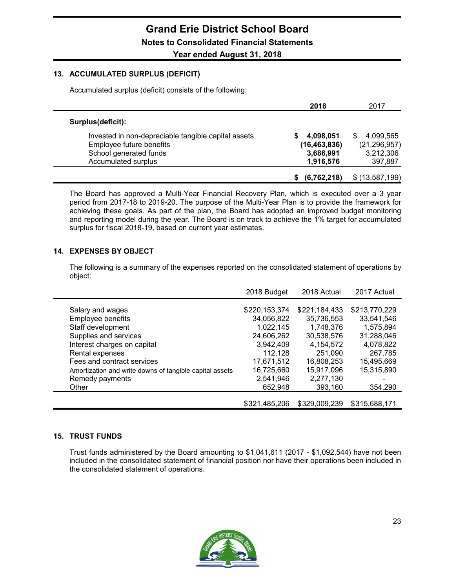# **13. ACCUMULATED SURPLUS (DEFICIT)**

Accumulated surplus (deficit) consists of the following:

|                                                     | 2018           | 2017            |
|-----------------------------------------------------|----------------|-----------------|
| Surplus(deficit):                                   |                |                 |
| Invested in non-depreciable tangible capital assets | 4,098,051      | 4,099,565<br>S  |
| Employee future benefits                            | (16, 463, 836) | (21, 296, 957)  |
| School generated funds                              | 3,686,991      | 3,212,306       |
| Accumulated surplus                                 | 1,916,576      | 397,887         |
|                                                     | (6, 762, 218)  | \$ (13,587,199) |

The Board has approved a Multi-Year Financial Recovery Plan, which is executed over a 3 year period from 2017-18 to 2019-20. The purpose of the Multi-Year Plan is to provide the framework for achieving these goals. As part of the plan, the Board has adopted an improved budget monitoring and reporting model during the year. The Board is on track to achieve the 1% target for accumulated surplus for fiscal 2018-19, based on current year estimates.

#### **14. EXPENSES BY OBJECT**

The following is a summary of the expenses reported on the consolidated statement of operations by object:

|                                                         | 2018 Budget   | 2018 Actual   | 2017 Actual   |
|---------------------------------------------------------|---------------|---------------|---------------|
| Salary and wages                                        | \$220,153,374 | \$221.184.433 | \$213,770,229 |
| Employee benefits                                       | 34,056,822    | 35,736,553    | 33,541,546    |
| Staff development                                       | 1,022,145     | 1,748,376     | 1,575,894     |
| Supplies and services                                   | 24.606.262    | 30,538,576    | 31,288,046    |
| Interest charges on capital                             | 3,942,409     | 4,154,572     | 4,078,822     |
| Rental expenses                                         | 112,128       | 251.090       | 267.785       |
| Fees and contract services                              | 17,671,512    | 16,808,253    | 15,495,669    |
| Amortization and write downs of tangible capital assets | 16,725,660    | 15,917,096    | 15,315,890    |
| Remedy payments                                         | 2.541.946     | 2,277,130     |               |
| Other                                                   | 652,948       | 393,160       | 354,290       |
|                                                         |               |               |               |
|                                                         | \$321.485.206 | \$329,009,239 | \$315,688,171 |

# **15. TRUST FUNDS**

Trust funds administered by the Board amounting to \$1,041,611 (2017 - \$1,092,544) have not been included in the consolidated statement of financial position nor have their operations been included in the consolidated statement of operations.

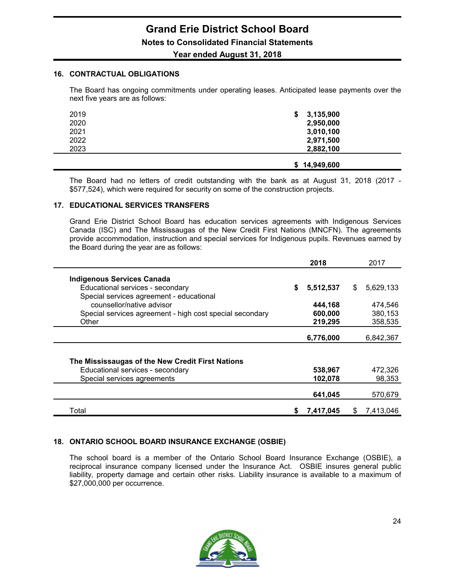**Year ended August 31, 2018**

# **16. CONTRACTUAL OBLIGATIONS**

The Board has ongoing commitments under operating leases. Anticipated lease payments over the next five years are as follows:

| 2019 | 3,135,900<br>\$ |
|------|-----------------|
| 2020 | 2,950,000       |
| 2021 | 3,010,100       |
| 2022 | 2,971,500       |
| 2023 | 2,882,100       |
|      | \$14,949,600    |

The Board had no letters of credit outstanding with the bank as at August 31, 2018 (2017 - \$577,524), which were required for security on some of the construction projects.

# **17. EDUCATIONAL SERVICES TRANSFERS**

Grand Erie District School Board has education services agreements with Indigenous Services Canada (ISC) and The Mississaugas of the New Credit First Nations (MNCFN). The agreements provide accommodation, instruction and special services for Indigenous pupils. Revenues earned by the Board during the year are as follows:

|                                                          |    | 2018      |    | 2017      |
|----------------------------------------------------------|----|-----------|----|-----------|
|                                                          |    |           |    |           |
| <b>Indigenous Services Canada</b>                        |    |           |    |           |
| Educational services - secondary                         | \$ | 5,512,537 | \$ | 5,629,133 |
| Special services agreement - educational                 |    |           |    |           |
| counsellor/native advisor                                |    | 444,168   |    | 474,546   |
| Special services agreement - high cost special secondary |    | 600,000   |    | 380,153   |
| Other                                                    |    | 219,295   |    | 358,535   |
|                                                          |    |           |    |           |
|                                                          |    | 6,776,000 |    | 6,842,367 |
|                                                          |    |           |    |           |
|                                                          |    |           |    |           |
| The Mississaugas of the New Credit First Nations         |    |           |    |           |
| Educational services - secondary                         |    | 538,967   |    | 472,326   |
| Special services agreements                              |    | 102,078   |    | 98,353    |
|                                                          |    |           |    |           |
|                                                          |    |           |    |           |
|                                                          |    | 641,045   |    | 570,679   |
|                                                          |    |           |    |           |
| Total                                                    | S  | 7,417,045 | S  | 7,413,046 |

# **18. ONTARIO SCHOOL BOARD INSURANCE EXCHANGE (OSBIE)**

The school board is a member of the Ontario School Board Insurance Exchange (OSBIE), a reciprocal insurance company licensed under the Insurance Act. OSBIE insures general public liability, property damage and certain other risks. Liability insurance is available to a maximum of \$27,000,000 per occurrence.